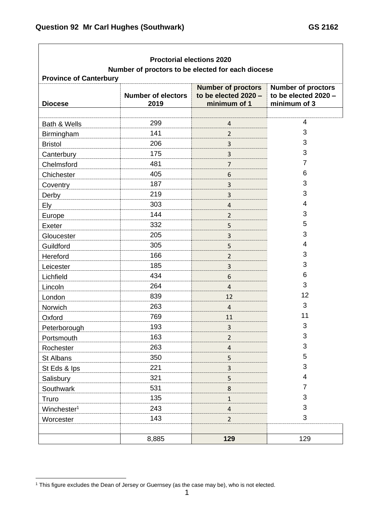| <b>Proctorial elections 2020</b><br>Number of proctors to be elected for each diocese<br><b>Province of Canterbury</b> |       |                         |                |  |  |
|------------------------------------------------------------------------------------------------------------------------|-------|-------------------------|----------------|--|--|
|                                                                                                                        |       |                         |                |  |  |
|                                                                                                                        |       |                         |                |  |  |
| Bath & Wells                                                                                                           | 299   | 4                       | 4              |  |  |
| Birmingham                                                                                                             | 141   | $\overline{2}$          | 3              |  |  |
| <b>Bristol</b>                                                                                                         | 206   | 3                       | 3              |  |  |
| Canterbury                                                                                                             | 175   | 3                       | 3              |  |  |
| Chelmsford                                                                                                             | 481   | $\overline{7}$          | $\overline{7}$ |  |  |
| Chichester                                                                                                             | 405   | 6                       | 6              |  |  |
| Coventry                                                                                                               | 187   | $\mathsf{3}$            | 3              |  |  |
| Derby                                                                                                                  | 219   | 3                       | 3              |  |  |
| <b>Ely</b>                                                                                                             | 303   | $\overline{4}$          | 4              |  |  |
| Europe                                                                                                                 | 144   | $\overline{2}$          | 3              |  |  |
| Exeter                                                                                                                 | 332   | 5                       | 5              |  |  |
| Gloucester                                                                                                             | 205   | 3                       | 3              |  |  |
| Guildford                                                                                                              | 305   | 5                       | 4              |  |  |
| Hereford                                                                                                               | 166   | $\overline{2}$          | 3              |  |  |
| Leicester                                                                                                              | 185   | 3                       | 3              |  |  |
| Lichfield                                                                                                              | 434   | 6                       | 6              |  |  |
| Lincoln                                                                                                                | 264   | $\overline{4}$          | 3              |  |  |
| London                                                                                                                 | 839   | 12                      | 12             |  |  |
| Norwich                                                                                                                | 263   | $\overline{4}$          | 3              |  |  |
| Oxford                                                                                                                 | 769   | 11                      | 11             |  |  |
| Peterborough                                                                                                           | 193   | 3                       | 3              |  |  |
| Portsmouth                                                                                                             | 163   | $\overline{2}$          | 3              |  |  |
| Rochester                                                                                                              | 263   | $\overline{\mathbf{r}}$ | 3              |  |  |
| St Albans                                                                                                              | 350   | 5                       | 5              |  |  |
| St Eds & Ips                                                                                                           | 221   | $\overline{3}$          | 3              |  |  |
| Salisbury                                                                                                              | 321   | 5                       | 4              |  |  |
| Southwark                                                                                                              | 531   | 8                       | 7              |  |  |
| Truro                                                                                                                  | 135   | $\mathbf{1}$            | 3              |  |  |
| Winchester <sup>1</sup>                                                                                                | 243   | $\overline{\mathbf{4}}$ | 3              |  |  |
| Worcester                                                                                                              | 143   | $\overline{2}$          | 3              |  |  |
|                                                                                                                        |       |                         |                |  |  |
|                                                                                                                        | 8,885 | 129                     | 129            |  |  |

<sup>1</sup> This figure excludes the Dean of Jersey or Guernsey (as the case may be), who is not elected.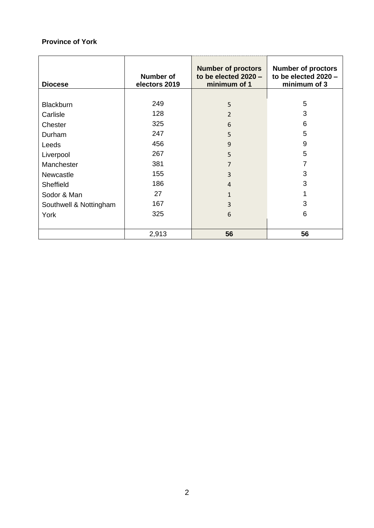## **Province of York**

| <b>Diocese</b>         | Number of<br>electors 2019 | <b>Number of proctors</b><br>to be elected $2020 -$<br>minimum of 1 | <b>Number of proctors</b><br>to be elected 2020 -<br>minimum of 3 |
|------------------------|----------------------------|---------------------------------------------------------------------|-------------------------------------------------------------------|
|                        |                            |                                                                     |                                                                   |
| <b>Blackburn</b>       | 249                        | 5                                                                   | 5                                                                 |
| Carlisle               | 128                        | $\overline{2}$                                                      | 3                                                                 |
| Chester                | 325                        | 6                                                                   | 6                                                                 |
| Durham                 | 247                        | 5                                                                   | 5                                                                 |
| Leeds                  | 456                        | 9                                                                   | 9                                                                 |
| Liverpool              | 267                        | 5                                                                   | 5                                                                 |
| Manchester             | 381                        | $\overline{7}$                                                      | 7                                                                 |
| Newcastle              | 155                        | 3                                                                   | 3                                                                 |
| <b>Sheffield</b>       | 186                        | $\overline{4}$                                                      | 3                                                                 |
| Sodor & Man            | 27                         | 1                                                                   |                                                                   |
| Southwell & Nottingham | 167                        | 3                                                                   | 3                                                                 |
| York                   | 325                        | 6                                                                   | 6                                                                 |
|                        | 2,913                      | 56                                                                  | 56                                                                |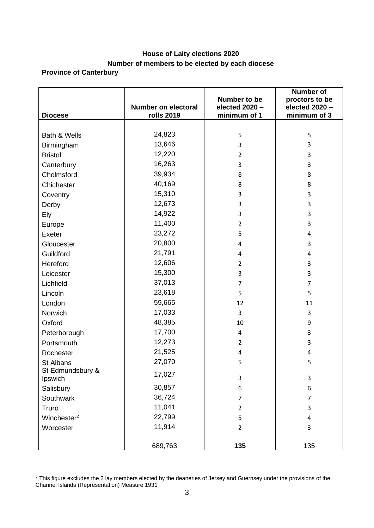## **House of Laity elections 2020 Number of members to be elected by each diocese**

## **Province of Canterbury**

| <b>Diocese</b>              | <b>Number on electoral</b><br><b>rolls 2019</b> | Number to be<br>elected 2020 -<br>minimum of 1 | <b>Number of</b><br>proctors to be<br>elected 2020 -<br>minimum of 3 |
|-----------------------------|-------------------------------------------------|------------------------------------------------|----------------------------------------------------------------------|
|                             |                                                 |                                                |                                                                      |
| Bath & Wells                | 24,823                                          | 5                                              | 5                                                                    |
| Birmingham                  | 13,646                                          | 3                                              | 3                                                                    |
| <b>Bristol</b>              | 12,220                                          | $\overline{2}$                                 | 3                                                                    |
| Canterbury                  | 16,263                                          | 3                                              | 3                                                                    |
| Chelmsford                  | 39,934                                          | 8                                              | 8                                                                    |
| Chichester                  | 40,169                                          | 8                                              | 8                                                                    |
| Coventry                    | 15,310                                          | 3                                              | 3                                                                    |
| Derby                       | 12,673                                          | 3                                              | 3                                                                    |
| Ely                         | 14,922                                          | 3                                              | 3                                                                    |
| Europe                      | 11,400                                          | $\overline{2}$                                 | 3                                                                    |
| Exeter                      | 23,272                                          | 5                                              | 4                                                                    |
| Gloucester                  | 20,800                                          | 4                                              | 3                                                                    |
| Guildford                   | 21,791                                          | 4                                              | 4                                                                    |
| Hereford                    | 12,606                                          | $\overline{2}$                                 | 3                                                                    |
| Leicester                   | 15,300                                          | 3                                              | 3                                                                    |
| Lichfield                   | 37,013                                          | $\overline{7}$                                 | $\overline{7}$                                                       |
| Lincoln                     | 23,618                                          | 5                                              | 5                                                                    |
| London                      | 59,665                                          | 12                                             | 11                                                                   |
| Norwich                     | 17,033                                          | 3                                              | 3                                                                    |
| Oxford                      | 48,385                                          | 10                                             | 9                                                                    |
| Peterborough                | 17,700                                          | 4                                              | 3                                                                    |
| Portsmouth                  | 12,273                                          | $\overline{2}$                                 | 3                                                                    |
| Rochester                   | 21,525                                          | 4                                              | 4                                                                    |
| St Albans                   | 27,070                                          | 5                                              | 5                                                                    |
| St Edmundsbury &<br>Ipswich | 17,027                                          | 3                                              | 3                                                                    |
| Salisbury                   | 30,857                                          | 6                                              | 6                                                                    |
| Southwark                   | 36,724                                          | 7                                              | $\overline{7}$                                                       |
| Truro                       | 11,041                                          | $\overline{2}$                                 | 3                                                                    |
| Winchester <sup>2</sup>     | 22,799                                          | 5                                              | 4                                                                    |
| Worcester                   | 11,914                                          | $\overline{2}$                                 | 3                                                                    |
|                             |                                                 |                                                |                                                                      |
|                             | 689,763                                         | 135                                            | 135                                                                  |

 $2$  This figure excludes the 2 lay members elected by the deaneries of Jersey and Guernsey under the provisions of the Channel Islands (Representation) Measure 1931